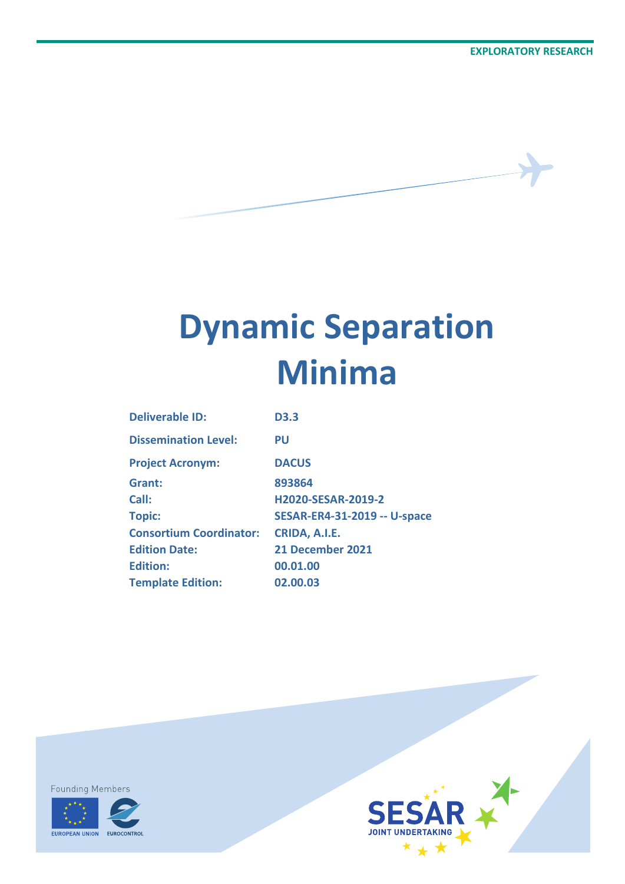# **Dynamic Separation Minima**

| <b>Deliverable ID:</b>         | <b>D3.3</b>                         |
|--------------------------------|-------------------------------------|
| <b>Dissemination Level:</b>    | PU                                  |
| <b>Project Acronym:</b>        | <b>DACUS</b>                        |
| Grant:                         | 893864                              |
| Call:                          | <b>H2020-SESAR-2019-2</b>           |
| <b>Topic:</b>                  | <b>SESAR-ER4-31-2019 -- U-space</b> |
| <b>Consortium Coordinator:</b> | CRIDA, A.I.E.                       |
| <b>Edition Date:</b>           | 21 December 2021                    |
| <b>Edition:</b>                | 00.01.00                            |
| <b>Template Edition:</b>       | 02.00.03                            |
|                                |                                     |

**Founding Members** 



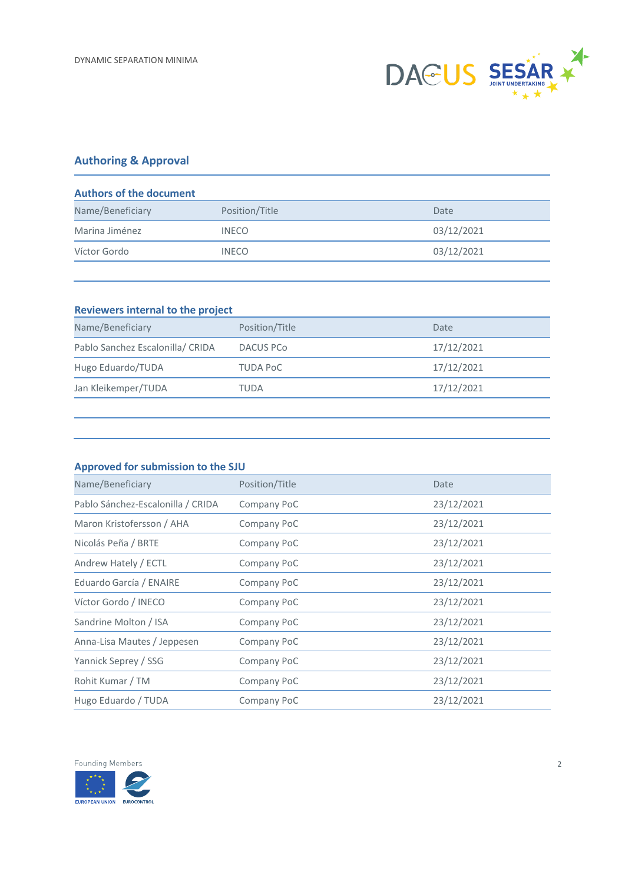

#### **Authoring & Approval**

| <b>Authors of the document</b>     |            |  |  |  |
|------------------------------------|------------|--|--|--|
| Name/Beneficiary<br>Position/Title | Date       |  |  |  |
| <b>INECO</b>                       | 03/12/2021 |  |  |  |
| <b>INECO</b>                       | 03/12/2021 |  |  |  |
|                                    |            |  |  |  |

#### **Reviewers internal to the project**

| Name/Beneficiary                 | Position/Title  | Date       |
|----------------------------------|-----------------|------------|
| Pablo Sanchez Escalonilla/ CRIDA | DACUS PCo       | 17/12/2021 |
| Hugo Eduardo/TUDA                | <b>TUDA PoC</b> | 17/12/2021 |
| Jan Kleikemper/TUDA              | TUDA            | 17/12/2021 |

#### **Approved for submission to the SJU**

| Name/Beneficiary                  | Position/Title | Date       |
|-----------------------------------|----------------|------------|
| Pablo Sánchez-Escalonilla / CRIDA | Company PoC    | 23/12/2021 |
| Maron Kristofersson / AHA         | Company PoC    | 23/12/2021 |
| Nicolás Peña / BRTE               | Company PoC    | 23/12/2021 |
| Andrew Hately / ECTL              | Company PoC    | 23/12/2021 |
| Eduardo García / ENAIRE           | Company PoC    | 23/12/2021 |
| Víctor Gordo / INECO              | Company PoC    | 23/12/2021 |
| Sandrine Molton / ISA             | Company PoC    | 23/12/2021 |
| Anna-Lisa Mautes / Jeppesen       | Company PoC    | 23/12/2021 |
| Yannick Seprey / SSG              | Company PoC    | 23/12/2021 |
| Rohit Kumar / TM                  | Company PoC    | 23/12/2021 |
| Hugo Eduardo / TUDA               | Company PoC    | 23/12/2021 |

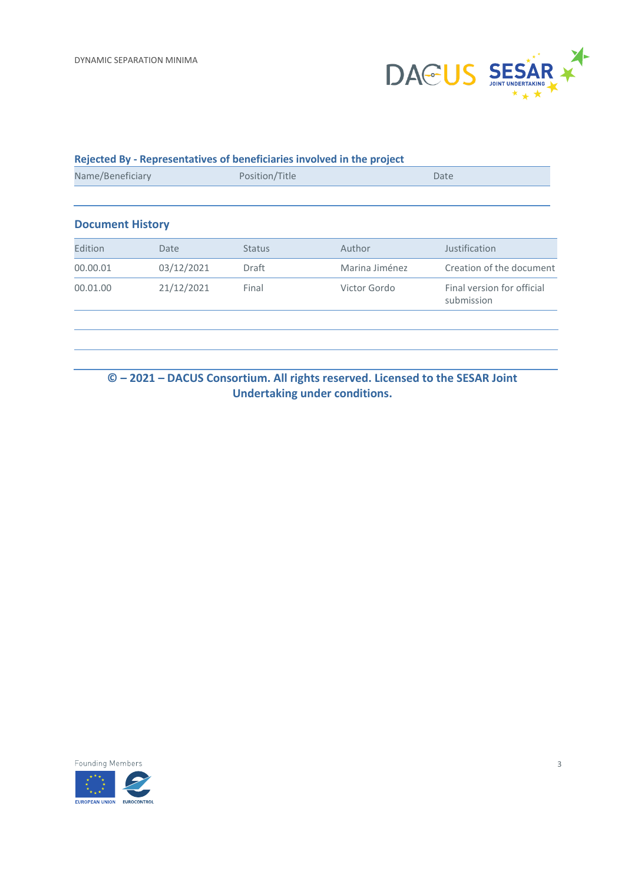

#### **Rejected By - Representatives of beneficiaries involved in the project**

| Name/Beneficiary        |            | Position/Title |                | Date                                     |
|-------------------------|------------|----------------|----------------|------------------------------------------|
| <b>Document History</b> |            |                |                |                                          |
| Edition                 | Date       | <b>Status</b>  | Author         | Justification                            |
| 00.00.01                | 03/12/2021 | <b>Draft</b>   | Marina Jiménez | Creation of the document                 |
| 00.01.00                | 21/12/2021 | Final          | Victor Gordo   | Final version for official<br>submission |
|                         |            |                |                |                                          |
|                         |            |                |                |                                          |

### **© – 2021 – DACUS Consortium. All rights reserved. Licensed to the SESAR Joint Undertaking under conditions.**

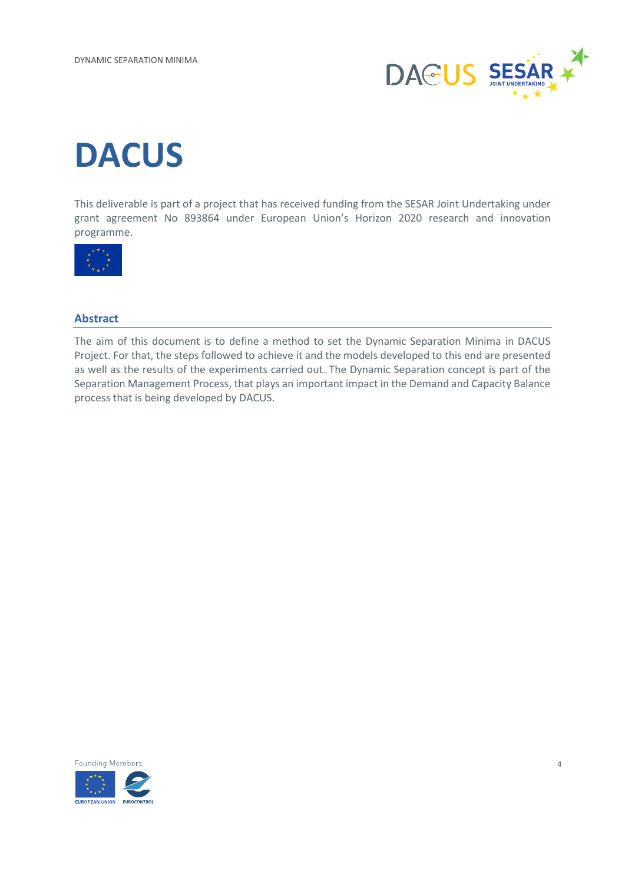

# **DACUS**

This deliverable is part of a project that has received funding from the SESAR Joint Undertaking under grant agreement No 893864 under European Union's Horizon 2020 research and innovation programme.



#### <span id="page-3-0"></span>**Abstract**

The aim of this document is to define a method to set the Dynamic Separation Minima in DACUS Project. For that, the steps followed to achieve it and the models developed to this end are presented as well as the results of the experiments carried out. The Dynamic Separation concept is part of the Separation Management Process, that plays an important impact in the Demand and Capacity Balance process that is being developed by DACUS.

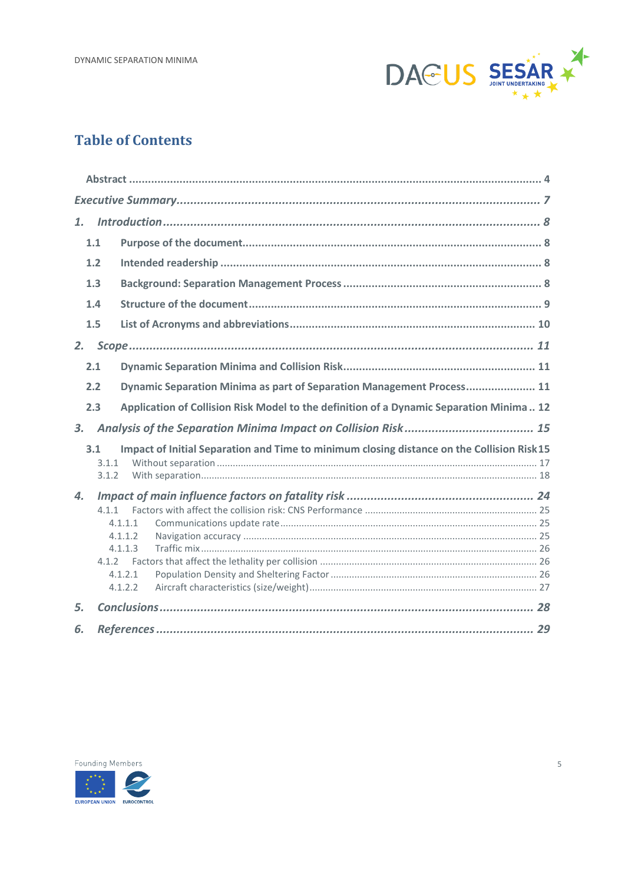

### **Table of Contents**

| $\mathbf{1}$ . |                |                                                                                            |
|----------------|----------------|--------------------------------------------------------------------------------------------|
|                | 1.1            |                                                                                            |
|                | 1.2            |                                                                                            |
|                | 1.3            |                                                                                            |
|                | 1.4            |                                                                                            |
|                | 1.5            |                                                                                            |
| 2.             |                |                                                                                            |
|                | 2.1            |                                                                                            |
|                | 2.2            | Dynamic Separation Minima as part of Separation Management Process 11                      |
|                | 2.3            | Application of Collision Risk Model to the definition of a Dynamic Separation Minima 12    |
| 3.             |                |                                                                                            |
|                | 3.1            | Impact of Initial Separation and Time to minimum closing distance on the Collision Risk 15 |
|                | 3.1.1<br>3.1.2 |                                                                                            |
| 4.             |                |                                                                                            |
|                | 411            |                                                                                            |
|                |                | 4.1.1.1                                                                                    |
|                |                | 4.1.1.2                                                                                    |
|                |                | 4.1.1.3                                                                                    |
|                |                |                                                                                            |
|                |                | 4.1.2.1                                                                                    |
|                |                | 4.1.2.2                                                                                    |
| 5.             |                |                                                                                            |
| 6.             |                |                                                                                            |

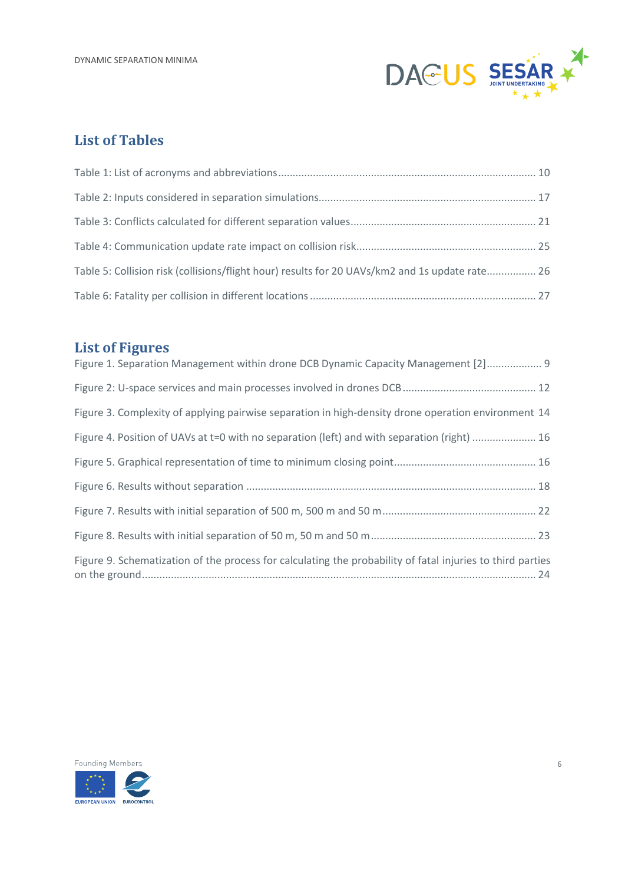

### **List of Tables**

| Table 5: Collision risk (collisions/flight hour) results for 20 UAVs/km2 and 1s update rate 26 |  |
|------------------------------------------------------------------------------------------------|--|
|                                                                                                |  |

## **List of Figures**

| Figure 1. Separation Management within drone DCB Dynamic Capacity Management [2] 9                         |
|------------------------------------------------------------------------------------------------------------|
|                                                                                                            |
| Figure 3. Complexity of applying pairwise separation in high-density drone operation environment 14        |
| Figure 4. Position of UAVs at t=0 with no separation (left) and with separation (right)  16                |
|                                                                                                            |
|                                                                                                            |
|                                                                                                            |
|                                                                                                            |
| Figure 9. Schematization of the process for calculating the probability of fatal injuries to third parties |

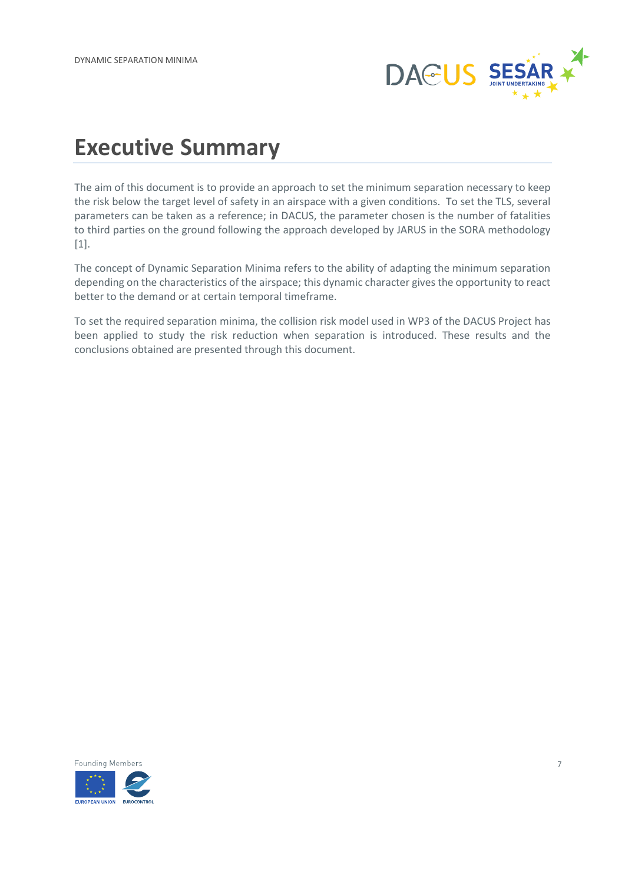

## <span id="page-6-0"></span>**Executive Summary**

The aim of this document is to provide an approach to set the minimum separation necessary to keep the risk below the target level of safety in an airspace with a given conditions. To set the TLS, several parameters can be taken as a reference; in DACUS, the parameter chosen is the number of fatalities to third parties on the ground following the approach developed by JARUS in the SORA methodology [1].

The concept of Dynamic Separation Minima refers to the ability of adapting the minimum separation depending on the characteristics of the airspace; this dynamic character gives the opportunity to react better to the demand or at certain temporal timeframe.

To set the required separation minima, the collision risk model used in WP3 of the DACUS Project has been applied to study the risk reduction when separation is introduced. These results and the conclusions obtained are presented through this document.

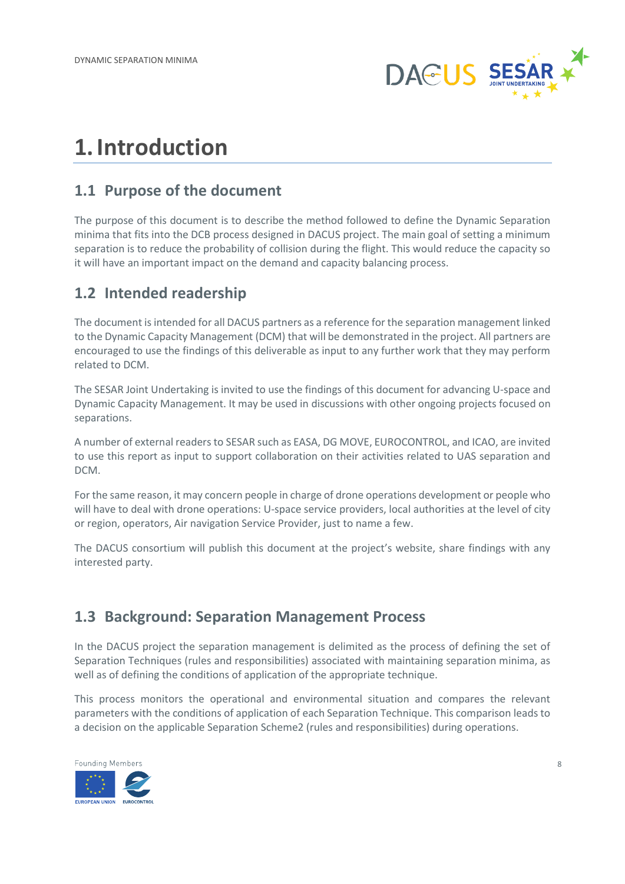

## <span id="page-7-0"></span>**1.Introduction**

### <span id="page-7-1"></span>**1.1 Purpose of the document**

The purpose of this document is to describe the method followed to define the Dynamic Separation minima that fits into the DCB process designed in DACUS project. The main goal of setting a minimum separation is to reduce the probability of collision during the flight. This would reduce the capacity so it will have an important impact on the demand and capacity balancing process.

## <span id="page-7-2"></span>**1.2 Intended readership**

The document is intended for all DACUS partners as a reference for the separation management linked to the Dynamic Capacity Management (DCM) that will be demonstrated in the project. All partners are encouraged to use the findings of this deliverable as input to any further work that they may perform related to DCM.

The SESAR Joint Undertaking is invited to use the findings of this document for advancing U-space and Dynamic Capacity Management. It may be used in discussions with other ongoing projects focused on separations.

A number of external readers to SESAR such as EASA, DG MOVE, EUROCONTROL, and ICAO, are invited to use this report as input to support collaboration on their activities related to UAS separation and DCM.

For the same reason, it may concern people in charge of drone operations development or people who will have to deal with drone operations: U-space service providers, local authorities at the level of city or region, operators, Air navigation Service Provider, just to name a few.

The DACUS consortium will publish this document at the project's website, share findings with any interested party.

## <span id="page-7-3"></span>**1.3 Background: Separation Management Process**

In the DACUS project the separation management is delimited as the process of defining the set of Separation Techniques (rules and responsibilities) associated with maintaining separation minima, as well as of defining the conditions of application of the appropriate technique.

This process monitors the operational and environmental situation and compares the relevant parameters with the conditions of application of each Separation Technique. This comparison leads to a decision on the applicable Separation Scheme2 (rules and responsibilities) during operations.

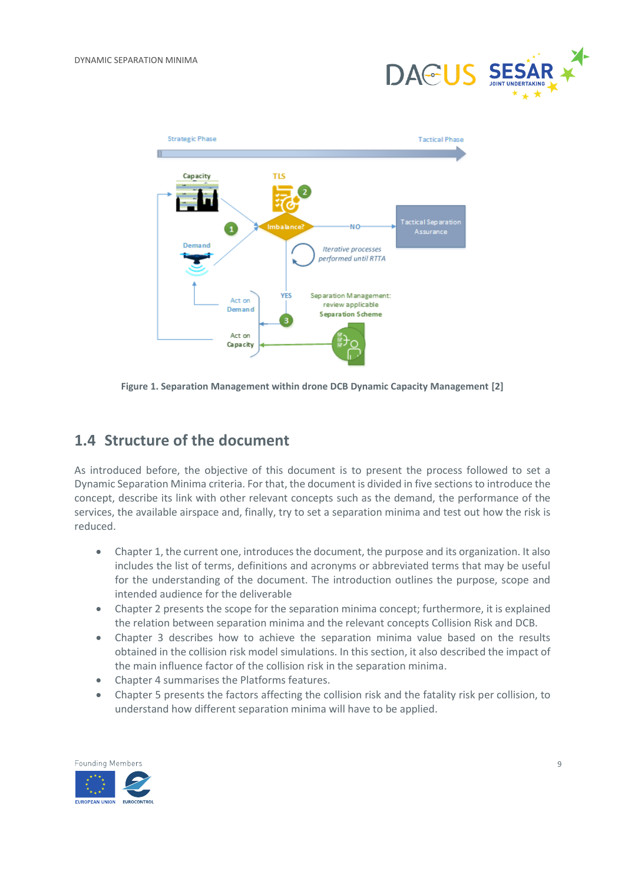



<span id="page-8-1"></span>**Figure 1. Separation Management within drone DCB Dynamic Capacity Management [2]**

### <span id="page-8-0"></span>**1.4 Structure of the document**

As introduced before, the objective of this document is to present the process followed to set a Dynamic Separation Minima criteria. For that, the document is divided in five sections to introduce the concept, describe its link with other relevant concepts such as the demand, the performance of the services, the available airspace and, finally, try to set a separation minima and test out how the risk is reduced.

- Chapter 1, the current one, introduces the document, the purpose and its organization. It also includes the list of terms, definitions and acronyms or abbreviated terms that may be useful for the understanding of the document. The introduction outlines the purpose, scope and intended audience for the deliverable
- Chapter 2 presents the scope for the separation minima concept; furthermore, it is explained the relation between separation minima and the relevant concepts Collision Risk and DCB.
- Chapter 3 describes how to achieve the separation minima value based on the results obtained in the collision risk model simulations. In this section, it also described the impact of the main influence factor of the collision risk in the separation minima.
- Chapter 4 summarises the Platforms features.
- Chapter 5 presents the factors affecting the collision risk and the fatality risk per collision, to understand how different separation minima will have to be applied.

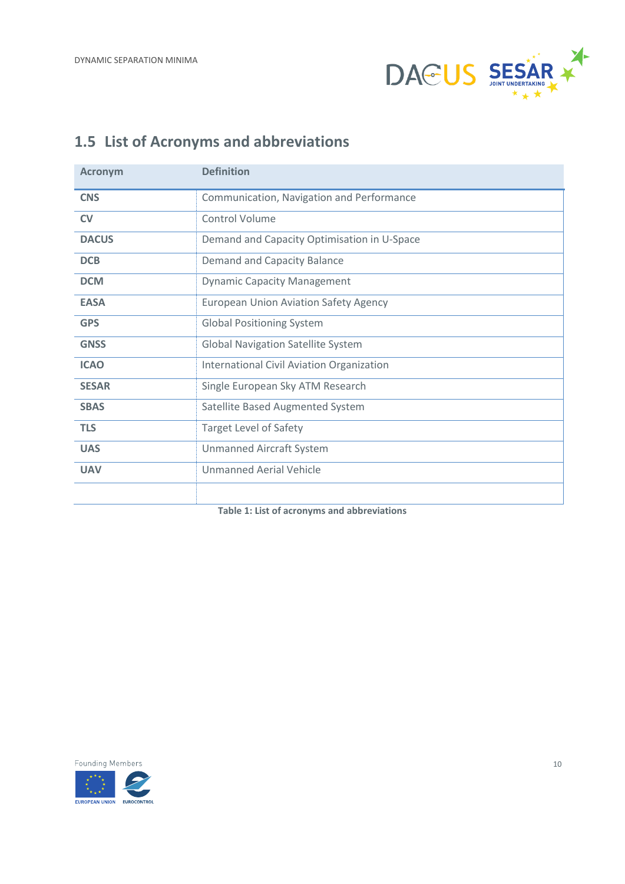

## <span id="page-9-0"></span>**1.5 List of Acronyms and abbreviations**

| <b>Acronym</b> | <b>Definition</b>                            |  |
|----------------|----------------------------------------------|--|
| <b>CNS</b>     | Communication, Navigation and Performance    |  |
| <b>CV</b>      | Control Volume                               |  |
| <b>DACUS</b>   | Demand and Capacity Optimisation in U-Space  |  |
| <b>DCB</b>     | Demand and Capacity Balance                  |  |
| <b>DCM</b>     | <b>Dynamic Capacity Management</b>           |  |
| <b>EASA</b>    | <b>European Union Aviation Safety Agency</b> |  |
| <b>GPS</b>     | <b>Global Positioning System</b>             |  |
| <b>GNSS</b>    | <b>Global Navigation Satellite System</b>    |  |
| <b>ICAO</b>    | International Civil Aviation Organization    |  |
| <b>SESAR</b>   | Single European Sky ATM Research             |  |
| <b>SBAS</b>    | Satellite Based Augmented System             |  |
| <b>TLS</b>     | <b>Target Level of Safety</b>                |  |
| <b>UAS</b>     | <b>Unmanned Aircraft System</b>              |  |
| <b>UAV</b>     | Unmanned Aerial Vehicle                      |  |
|                |                                              |  |

<span id="page-9-1"></span>**Table 1: List of acronyms and abbreviations**

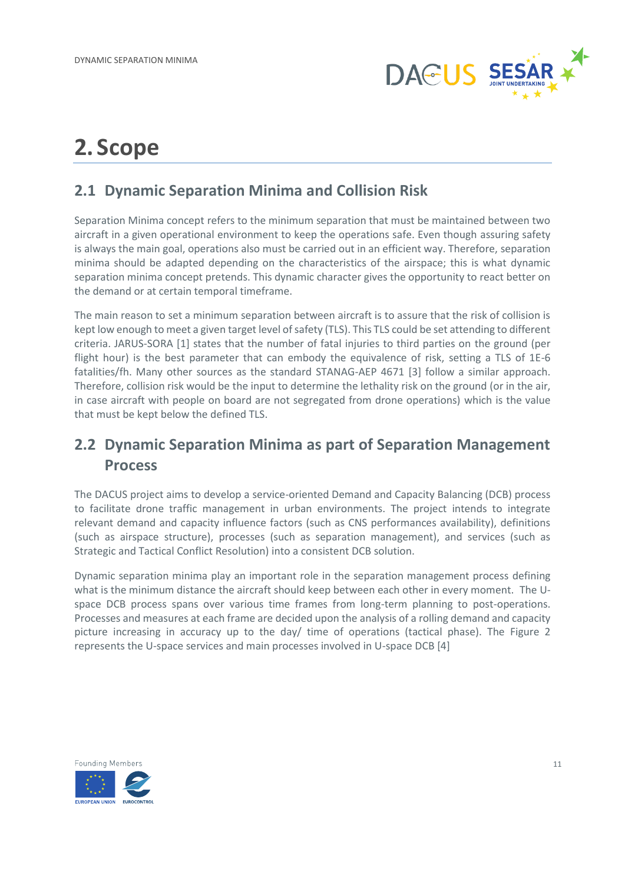

## <span id="page-10-0"></span>**2. Scope**

## <span id="page-10-1"></span>**2.1 Dynamic Separation Minima and Collision Risk**

Separation Minima concept refers to the minimum separation that must be maintained between two aircraft in a given operational environment to keep the operations safe. Even though assuring safety is always the main goal, operations also must be carried out in an efficient way. Therefore, separation minima should be adapted depending on the characteristics of the airspace; this is what dynamic separation minima concept pretends. This dynamic character gives the opportunity to react better on the demand or at certain temporal timeframe.

The main reason to set a minimum separation between aircraft is to assure that the risk of collision is kept low enough to meet a given target level of safety (TLS). This TLS could be set attending to different criteria. JARUS-SORA [1] states that the number of fatal injuries to third parties on the ground (per flight hour) is the best parameter that can embody the equivalence of risk, setting a TLS of 1E-6 fatalities/fh. Many other sources as the standard STANAG-AEP 4671 [3] follow a similar approach. Therefore, collision risk would be the input to determine the lethality risk on the ground (or in the air, in case aircraft with people on board are not segregated from drone operations) which is the value that must be kept below the defined TLS.

## <span id="page-10-2"></span>**2.2 Dynamic Separation Minima as part of Separation Management Process**

The DACUS project aims to develop a service-oriented Demand and Capacity Balancing (DCB) process to facilitate drone traffic management in urban environments. The project intends to integrate relevant demand and capacity influence factors (such as CNS performances availability), definitions (such as airspace structure), processes (such as separation management), and services (such as Strategic and Tactical Conflict Resolution) into a consistent DCB solution.

Dynamic separation minima play an important role in the separation management process defining what is the minimum distance the aircraft should keep between each other in every moment. The Uspace DCB process spans over various time frames from long-term planning to post-operations. Processes and measures at each frame are decided upon the analysis of a rolling demand and capacity picture increasing in accuracy up to the day/ time of operations (tactical phase). The [Figure 2](#page-11-1) represents the U-space services and main processes involved in U-space DCB [4]

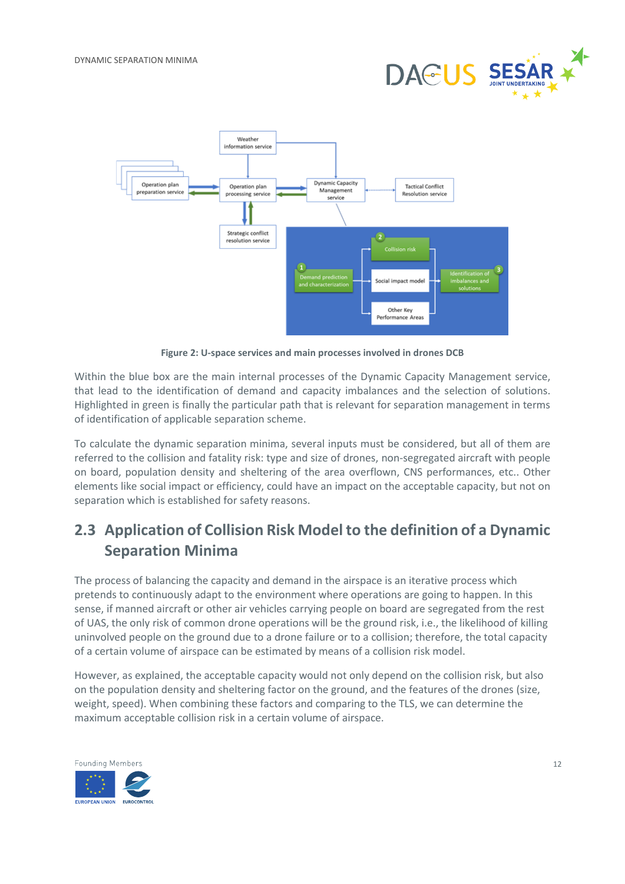



**Figure 2: U-space services and main processes involved in drones DCB**

<span id="page-11-1"></span>Within the blue box are the main internal processes of the Dynamic Capacity Management service, that lead to the identification of demand and capacity imbalances and the selection of solutions. Highlighted in green is finally the particular path that is relevant for separation management in terms of identification of applicable separation scheme.

To calculate the dynamic separation minima, several inputs must be considered, but all of them are referred to the collision and fatality risk: type and size of drones, non-segregated aircraft with people on board, population density and sheltering of the area overflown, CNS performances, etc.. Other elements like social impact or efficiency, could have an impact on the acceptable capacity, but not on separation which is established for safety reasons.

## <span id="page-11-0"></span>**2.3 Application of Collision Risk Model to the definition of a Dynamic Separation Minima**

The process of balancing the capacity and demand in the airspace is an iterative process which pretends to continuously adapt to the environment where operations are going to happen. In this sense, if manned aircraft or other air vehicles carrying people on board are segregated from the rest of UAS, the only risk of common drone operations will be the ground risk, i.e., the likelihood of killing uninvolved people on the ground due to a drone failure or to a collision; therefore, the total capacity of a certain volume of airspace can be estimated by means of a collision risk model.

However, as explained, the acceptable capacity would not only depend on the collision risk, but also on the population density and sheltering factor on the ground, and the features of the drones (size, weight, speed). When combining these factors and comparing to the TLS, we can determine the maximum acceptable collision risk in a certain volume of airspace.

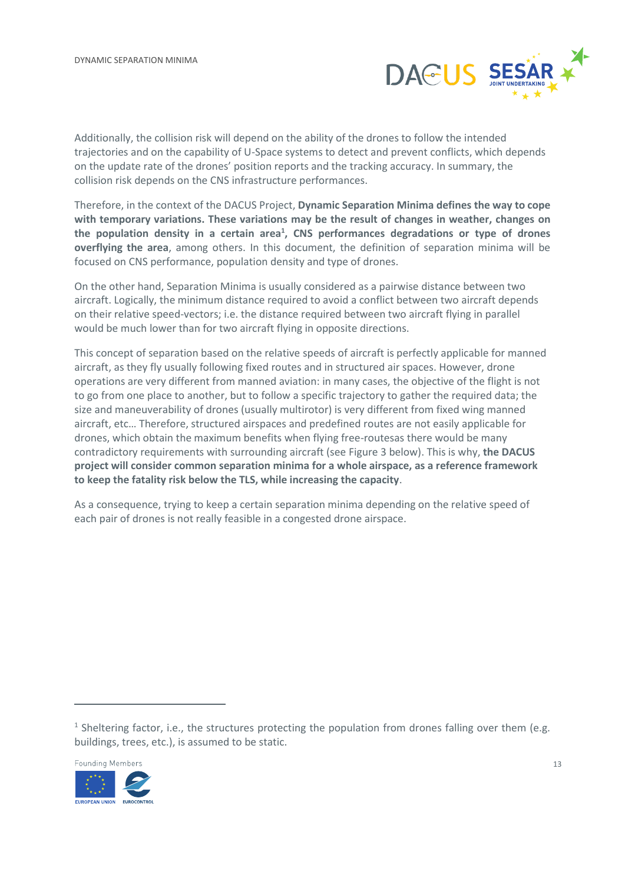

Additionally, the collision risk will depend on the ability of the drones to follow the intended trajectories and on the capability of U-Space systems to detect and prevent conflicts, which depends on the update rate of the drones' position reports and the tracking accuracy. In summary, the collision risk depends on the CNS infrastructure performances.

Therefore, in the context of the DACUS Project, **Dynamic Separation Minima defines the way to cope with temporary variations. These variations may be the result of changes in weather, changes on the population density in a certain area<sup>1</sup> , CNS performances degradations or type of drones overflying the area**, among others. In this document, the definition of separation minima will be focused on CNS performance, population density and type of drones.

On the other hand, Separation Minima is usually considered as a pairwise distance between two aircraft. Logically, the minimum distance required to avoid a conflict between two aircraft depends on their relative speed-vectors; i.e. the distance required between two aircraft flying in parallel would be much lower than for two aircraft flying in opposite directions.

This concept of separation based on the relative speeds of aircraft is perfectly applicable for manned aircraft, as they fly usually following fixed routes and in structured air spaces. However, drone operations are very different from manned aviation: in many cases, the objective of the flight is not to go from one place to another, but to follow a specific trajectory to gather the required data; the size and maneuverability of drones (usually multirotor) is very different from fixed wing manned aircraft, etc… Therefore, structured airspaces and predefined routes are not easily applicable for drones, which obtain the maximum benefits when flying free-routesas there would be many contradictory requirements with surrounding aircraft (see [Figure 3](#page-13-0) below). This is why, **the DACUS project will consider common separation minima for a whole airspace, as a reference framework to keep the fatality risk below the TLS, while increasing the capacity**.

As a consequence, trying to keep a certain separation minima depending on the relative speed of each pair of drones is not really feasible in a congested drone airspace.

<sup>&</sup>lt;sup>1</sup> Sheltering factor, i.e., the structures protecting the population from drones falling over them (e.g. buildings, trees, etc.), is assumed to be static.

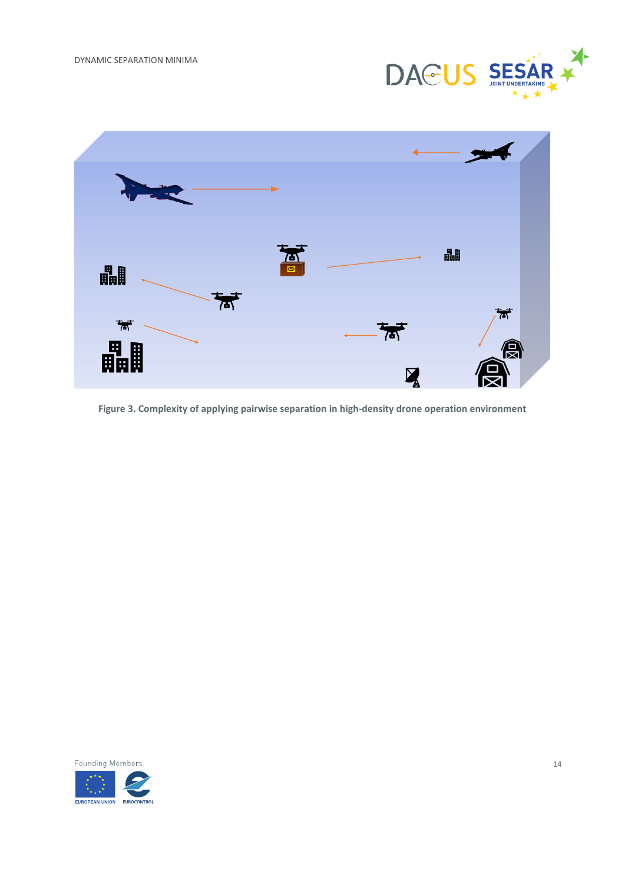



<span id="page-13-0"></span>**Figure 3. Complexity of applying pairwise separation in high-density drone operation environment**

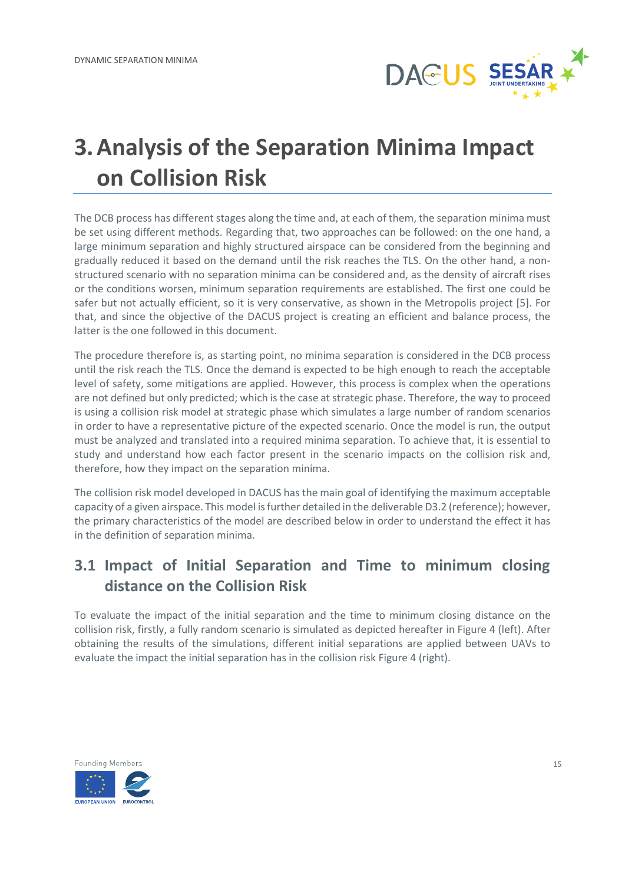

## <span id="page-14-0"></span>**3.Analysis of the Separation Minima Impact on Collision Risk**

The DCB process has different stages along the time and, at each of them, the separation minima must be set using different methods. Regarding that, two approaches can be followed: on the one hand, a large minimum separation and highly structured airspace can be considered from the beginning and gradually reduced it based on the demand until the risk reaches the TLS. On the other hand, a nonstructured scenario with no separation minima can be considered and, as the density of aircraft rises or the conditions worsen, minimum separation requirements are established. The first one could be safer but not actually efficient, so it is very conservative, as shown in the Metropolis project [5]. For that, and since the objective of the DACUS project is creating an efficient and balance process, the latter is the one followed in this document.

The procedure therefore is, as starting point, no minima separation is considered in the DCB process until the risk reach the TLS. Once the demand is expected to be high enough to reach the acceptable level of safety, some mitigations are applied. However, this process is complex when the operations are not defined but only predicted; which is the case at strategic phase. Therefore, the way to proceed is using a collision risk model at strategic phase which simulates a large number of random scenarios in order to have a representative picture of the expected scenario. Once the model is run, the output must be analyzed and translated into a required minima separation. To achieve that, it is essential to study and understand how each factor present in the scenario impacts on the collision risk and, therefore, how they impact on the separation minima.

The collision risk model developed in DACUS has the main goal of identifying the maximum acceptable capacity of a given airspace. This model is further detailed in the deliverable D3.2 (reference); however, the primary characteristics of the model are described below in order to understand the effect it has in the definition of separation minima.

## <span id="page-14-1"></span>**3.1 Impact of Initial Separation and Time to minimum closing distance on the Collision Risk**

To evaluate the impact of the initial separation and the time to minimum closing distance on the collision risk, firstly, a fully random scenario is simulated as depicted hereafter in [Figure 4](#page-15-0) (left). After obtaining the results of the simulations, different initial separations are applied between UAVs to evaluate the impact the initial separation has in the collision risk [Figure 4](#page-15-0) (right).

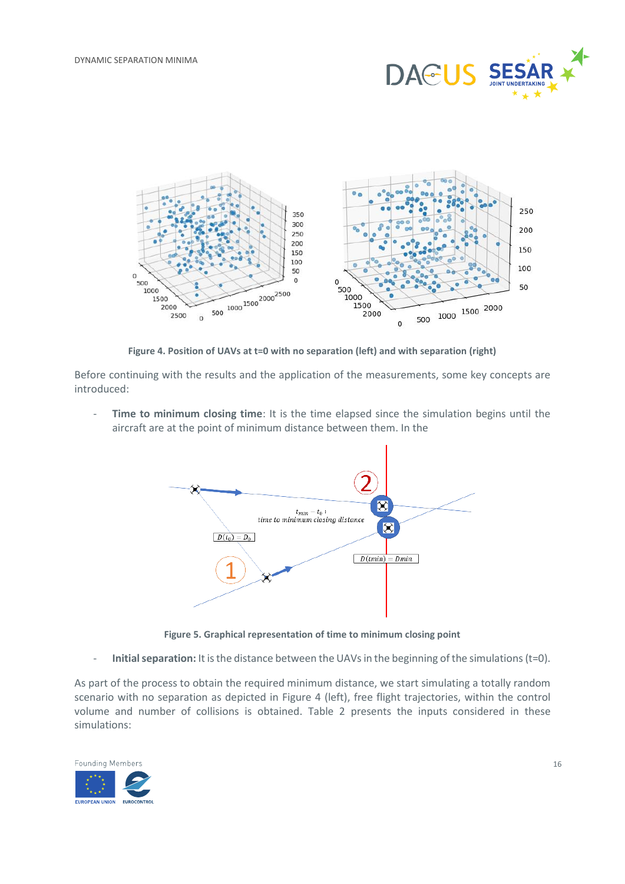



**Figure 4. Position of UAVs at t=0 with no separation (left) and with separation (right)**

<span id="page-15-0"></span>Before continuing with the results and the application of the measurements, some key concepts are introduced:

- **Time to minimum closing time**: It is the time elapsed since the simulation begins until the aircraft are at the point of minimum distance between them. In the



**Figure 5. Graphical representation of time to minimum closing point**

<span id="page-15-1"></span>- **Initial separation:** It is the distance between the UAVs in the beginning of the simulations (t=0).

As part of the process to obtain the required minimum distance, we start simulating a totally random scenario with no separation as depicted in [Figure 4](#page-15-0) (left), free flight trajectories, within the control volume and number of collisions is obtained. [Table 2](#page-16-1) presents the inputs considered in these simulations:

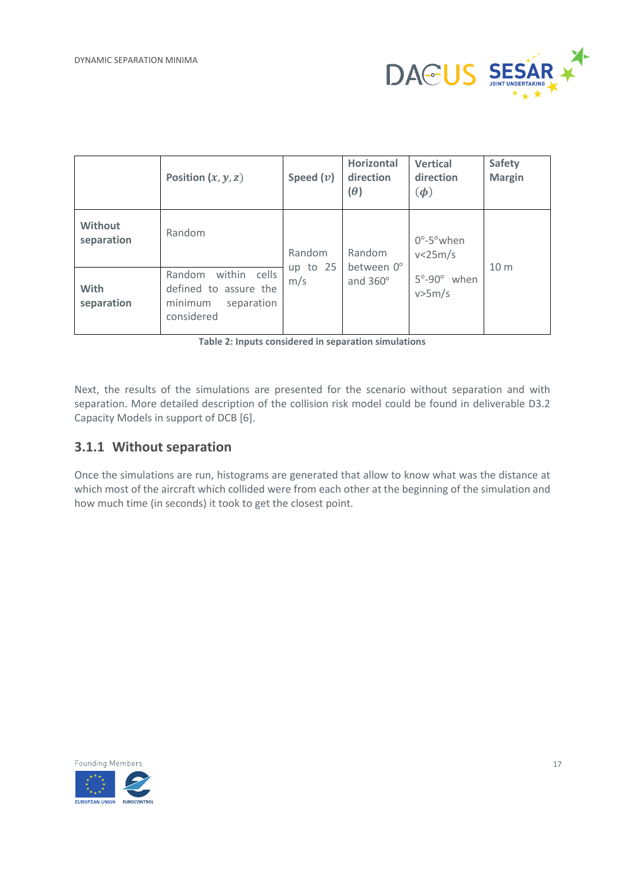

|                              | Position $(x, y, z)$                                                                      | Speed $(v)$       | <b>Horizontal</b><br>direction<br>$(\theta)$ | <b>Vertical</b><br>direction<br>$(\boldsymbol{\phi})$ | <b>Safety</b><br><b>Margin</b> |
|------------------------------|-------------------------------------------------------------------------------------------|-------------------|----------------------------------------------|-------------------------------------------------------|--------------------------------|
| <b>Without</b><br>separation | Random                                                                                    | Random            | Random                                       | $0^\circ$ -5 $^\circ$ when<br>v<25m/s                 |                                |
| <b>With</b><br>separation    | cells<br>Random<br>within<br>defined to assure the<br>minimum<br>separation<br>considered | up to $25$<br>m/s | between 0°<br>and 360°                       | $5^{\circ}$ -90 $^{\circ}$ when<br>v>5m/s             | 10 <sub>m</sub>                |

**Table 2: Inputs considered in separation simulations**

<span id="page-16-1"></span>Next, the results of the simulations are presented for the scenario without separation and with separation. More detailed description of the collision risk model could be found in deliverable D3.2 Capacity Models in support of DCB [6].

### <span id="page-16-0"></span>**3.1.1 Without separation**

Once the simulations are run, histograms are generated that allow to know what was the distance at which most of the aircraft which collided were from each other at the beginning of the simulation and how much time (in seconds) it took to get the closest point.

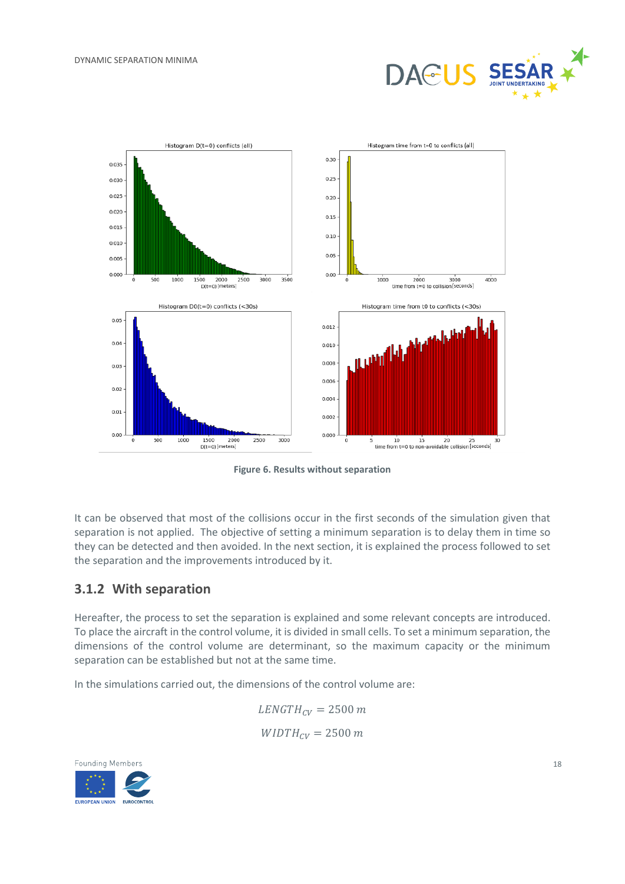



**Figure 6. Results without separation**

<span id="page-17-1"></span>It can be observed that most of the collisions occur in the first seconds of the simulation given that separation is not applied. The objective of setting a minimum separation is to delay them in time so they can be detected and then avoided. In the next section, it is explained the process followed to set the separation and the improvements introduced by it.

#### <span id="page-17-0"></span>**3.1.2 With separation**

Hereafter, the process to set the separation is explained and some relevant concepts are introduced. To place the aircraft in the control volume, it is divided in small cells. To set a minimum separation, the dimensions of the control volume are determinant, so the maximum capacity or the minimum separation can be established but not at the same time.

In the simulations carried out, the dimensions of the control volume are:

 $LENGTH_{CV} = 2500$  m  $WIDTH_{CV} = 2500 m$ 

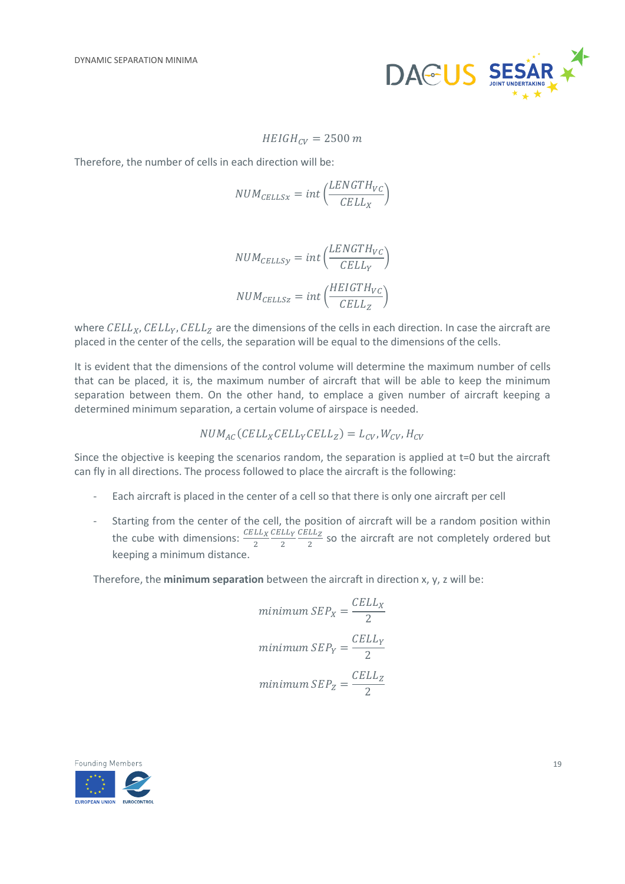

$$
HEIGH_{CV} = 2500 m
$$

Therefore, the number of cells in each direction will be:

$$
NUM_{EELLSx} = int\left(\frac{LENGTH_{VC}}{CELL_X}\right)
$$

$$
NUM_{CELLSy} = int\left(\frac{LENGTH_{VC}}{CELL_Y}\right)
$$
  

$$
NUM_{CELLSz} = int\left(\frac{HEIGTH_{VC}}{CELL_Z}\right)
$$

where  $\text{CELL}_X, \text{CELL}_Y, \text{CELL}_Z$  are the dimensions of the cells in each direction. In case the aircraft are placed in the center of the cells, the separation will be equal to the dimensions of the cells.

It is evident that the dimensions of the control volume will determine the maximum number of cells that can be placed, it is, the maximum number of aircraft that will be able to keep the minimum separation between them. On the other hand, to emplace a given number of aircraft keeping a determined minimum separation, a certain volume of airspace is needed.

$$
NUM_{AC}(CELL_XCELL_YCELL_Z) = L_{CV}, W_{CV}, H_{CV}
$$

Since the objective is keeping the scenarios random, the separation is applied at t=0 but the aircraft can fly in all directions. The process followed to place the aircraft is the following:

- Each aircraft is placed in the center of a cell so that there is only one aircraft per cell
- Starting from the center of the cell, the position of aircraft will be a random position within the cube with dimensions:  $\frac{CELL_X}{2}$ CELLY 2  $\mathcal{C}\mathcal{E}\mathcal{L}\mathcal{L}$  $\frac{22}{2}$  so the aircraft are not completely ordered but keeping a minimum distance.

Therefore, the **minimum separation** between the aircraft in direction x, y, z will be:

$$
minimum SEP_X = \frac{CELL_X}{2}
$$
  

$$
minimum SEP_Y = \frac{CELL_Y}{2}
$$
  

$$
minimum SEP_Z = \frac{CELL_Z}{2}
$$

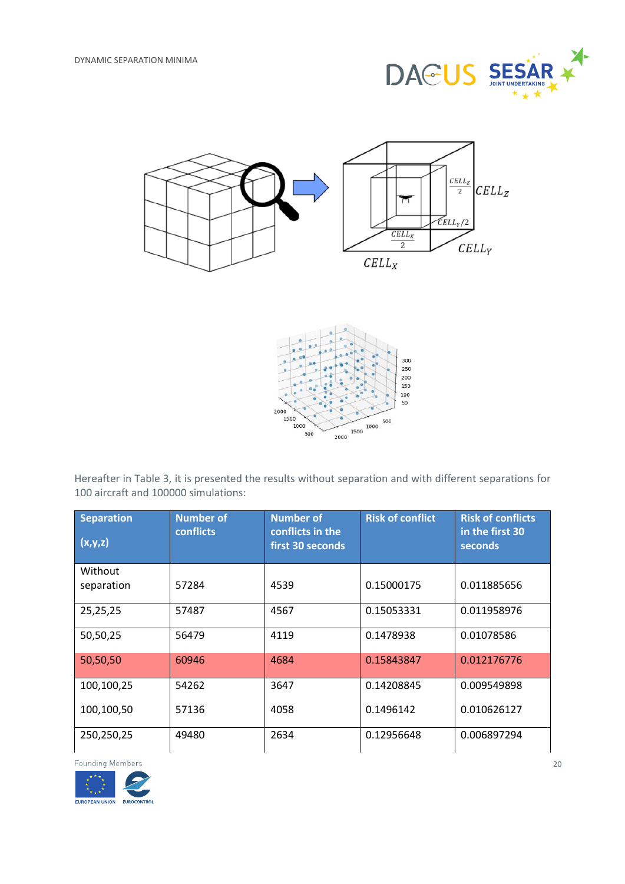





Hereafter in [Table 3,](#page-20-0) it is presented the results without separation and with different separations for 100 aircraft and 100000 simulations:

| <b>Separation</b><br>(x,y,z) | <b>Number of</b><br>conflicts | <b>Number of</b><br>conflicts in the<br>first 30 seconds | <b>Risk of conflict</b> | <b>Risk of conflicts</b><br>in the first 30<br>seconds |
|------------------------------|-------------------------------|----------------------------------------------------------|-------------------------|--------------------------------------------------------|
| Without                      |                               |                                                          |                         |                                                        |
| separation                   | 57284                         | 4539                                                     | 0.15000175              | 0.011885656                                            |
| 25,25,25                     | 57487                         | 4567                                                     | 0.15053331              | 0.011958976                                            |
| 50,50,25                     | 56479                         | 4119                                                     | 0.1478938               | 0.01078586                                             |
| 50,50,50                     | 60946                         | 4684                                                     | 0.15843847              | 0.012176776                                            |
| 100,100,25                   | 54262                         | 3647                                                     | 0.14208845              | 0.009549898                                            |
| 100,100,50                   | 57136                         | 4058                                                     | 0.1496142               | 0.010626127                                            |
| 250,250,25                   | 49480                         | 2634                                                     | 0.12956648              | 0.006897294                                            |

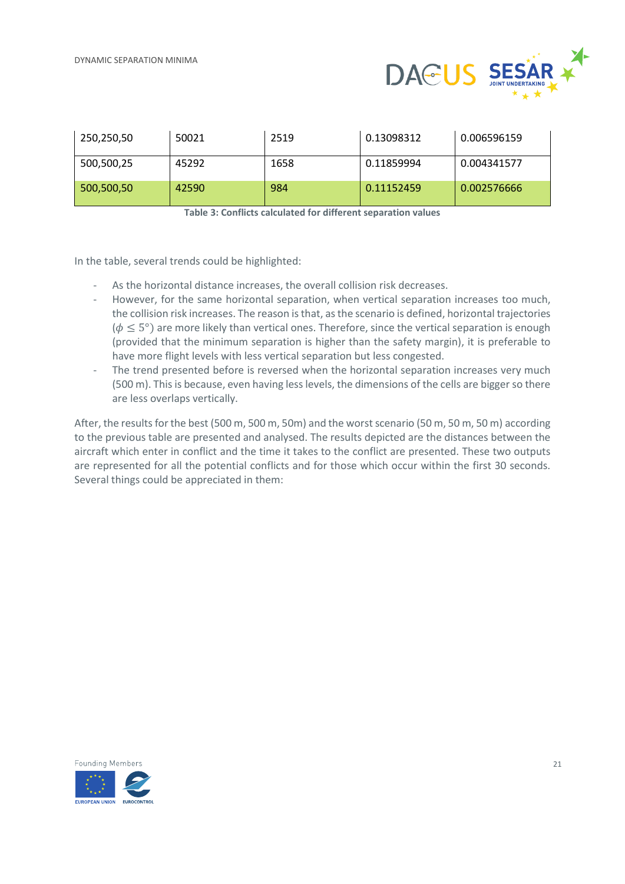

| 250,250,50 | 50021 | 2519 | 0.13098312 | 0.006596159 |
|------------|-------|------|------------|-------------|
| 500,500,25 | 45292 | 1658 | 0.11859994 | 0.004341577 |
| 500,500,50 | 42590 | 984  | 0.11152459 | 0.002576666 |

**Table 3: Conflicts calculated for different separation values**

<span id="page-20-0"></span>In the table, several trends could be highlighted:

- As the horizontal distance increases, the overall collision risk decreases.
- However, for the same horizontal separation, when vertical separation increases too much, the collision risk increases. The reason is that, as the scenario is defined, horizontal trajectories ( $\phi \leq 5^{\circ}$ ) are more likely than vertical ones. Therefore, since the vertical separation is enough (provided that the minimum separation is higher than the safety margin), it is preferable to have more flight levels with less vertical separation but less congested.
- The trend presented before is reversed when the horizontal separation increases very much (500 m). This is because, even having less levels, the dimensions of the cells are bigger so there are less overlaps vertically.

After, the results for the best (500 m, 500 m, 50m) and the worst scenario (50 m, 50 m, 50 m) according to the previous table are presented and analysed. The results depicted are the distances between the aircraft which enter in conflict and the time it takes to the conflict are presented. These two outputs are represented for all the potential conflicts and for those which occur within the first 30 seconds. Several things could be appreciated in them:

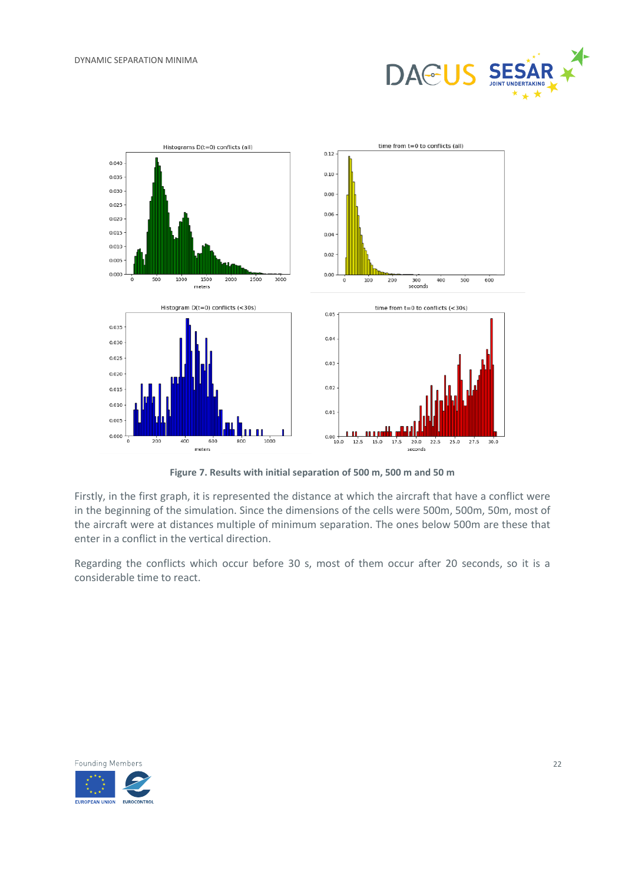



**Figure 7. Results with initial separation of 500 m, 500 m and 50 m**

<span id="page-21-0"></span>Firstly, in the first graph, it is represented the distance at which the aircraft that have a conflict were in the beginning of the simulation. Since the dimensions of the cells were 500m, 500m, 50m, most of the aircraft were at distances multiple of minimum separation. The ones below 500m are these that enter in a conflict in the vertical direction.

Regarding the conflicts which occur before 30 s, most of them occur after 20 seconds, so it is a considerable time to react.

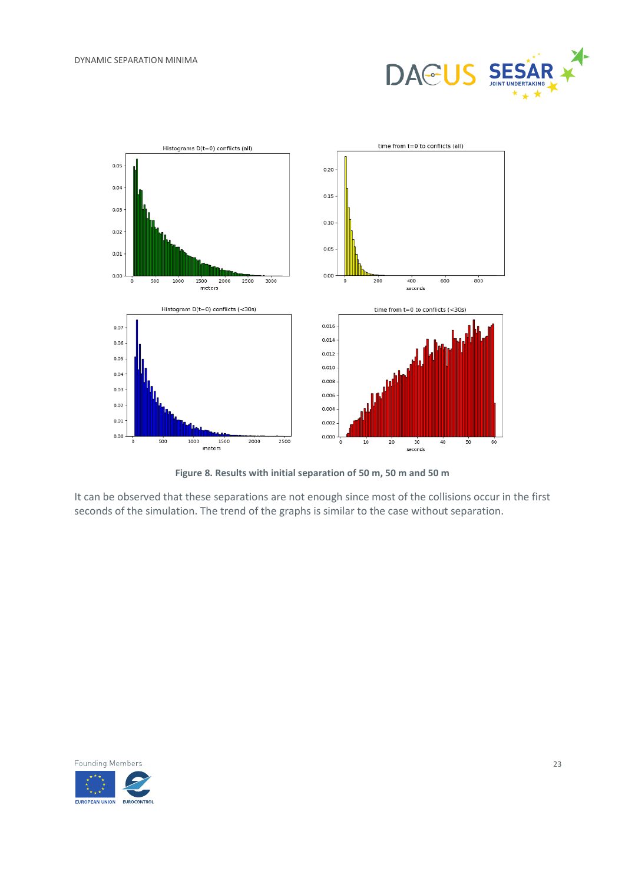



**Figure 8. Results with initial separation of 50 m, 50 m and 50 m**

<span id="page-22-0"></span>It can be observed that these separations are not enough since most of the collisions occur in the first seconds of the simulation. The trend of the graphs is similar to the case without separation.

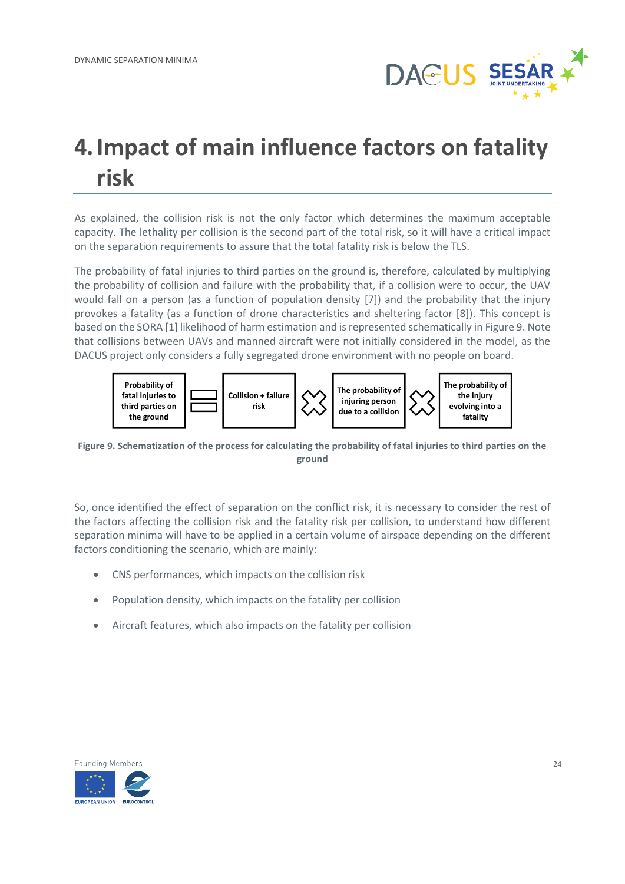

## <span id="page-23-0"></span>**4.Impact of main influence factors on fatality risk**

As explained, the collision risk is not the only factor which determines the maximum acceptable capacity. The lethality per collision is the second part of the total risk, so it will have a critical impact on the separation requirements to assure that the total fatality risk is below the TLS.

The probability of fatal injuries to third parties on the ground is, therefore, calculated by multiplying the probability of collision and failure with the probability that, if a collision were to occur, the UAV would fall on a person (as a function of population density [7]) and the probability that the injury provokes a fatality (as a function of drone characteristics and sheltering factor [8]). This concept is based on the SORA [1] likelihood of harm estimation and is represented schematically i[n Figure 9.](#page-23-1) Note that collisions between UAVs and manned aircraft were not initially considered in the model, as the DACUS project only considers a fully segregated drone environment with no people on board.



<span id="page-23-1"></span>**Figure 9. Schematization of the process for calculating the probability of fatal injuries to third parties on the ground**

So, once identified the effect of separation on the conflict risk, it is necessary to consider the rest of the factors affecting the collision risk and the fatality risk per collision, to understand how different separation minima will have to be applied in a certain volume of airspace depending on the different factors conditioning the scenario, which are mainly:

- CNS performances, which impacts on the collision risk
- Population density, which impacts on the fatality per collision
- Aircraft features, which also impacts on the fatality per collision

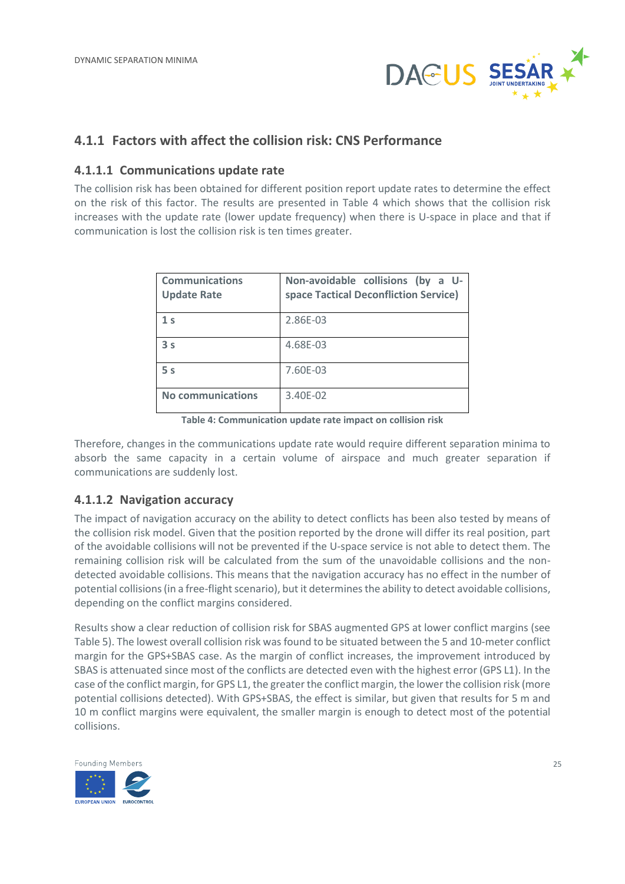

### <span id="page-24-0"></span>**4.1.1 Factors with affect the collision risk: CNS Performance**

#### <span id="page-24-1"></span>**4.1.1.1 Communications update rate**

The collision risk has been obtained for different position report update rates to determine the effect on the risk of this factor. The results are presented in [Table 4](#page-24-3) which shows that the collision risk increases with the update rate (lower update frequency) when there is U-space in place and that if communication is lost the collision risk is ten times greater.

| <b>Communications</b><br><b>Update Rate</b> | Non-avoidable collisions (by a U-<br>space Tactical Deconfliction Service) |
|---------------------------------------------|----------------------------------------------------------------------------|
| 1 <sub>s</sub>                              | 2.86E-03                                                                   |
| 3 <sub>s</sub>                              | 4.68E-03                                                                   |
| 5 <sub>s</sub>                              | 7.60E-03                                                                   |
| <b>No communications</b>                    | 3.40E-02                                                                   |

**Table 4: Communication update rate impact on collision risk**

<span id="page-24-3"></span>Therefore, changes in the communications update rate would require different separation minima to absorb the same capacity in a certain volume of airspace and much greater separation if communications are suddenly lost.

#### <span id="page-24-2"></span>**4.1.1.2 Navigation accuracy**

The impact of navigation accuracy on the ability to detect conflicts has been also tested by means of the collision risk model. Given that the position reported by the drone will differ its real position, part of the avoidable collisions will not be prevented if the U-space service is not able to detect them. The remaining collision risk will be calculated from the sum of the unavoidable collisions and the nondetected avoidable collisions. This means that the navigation accuracy has no effect in the number of potential collisions(in a free-flight scenario), but it determines the ability to detect avoidable collisions, depending on the conflict margins considered.

Results show a clear reduction of collision risk for SBAS augmented GPS at lower conflict margins (see [Table 5\)](#page-25-3). The lowest overall collision risk was found to be situated between the 5 and 10-meter conflict margin for the GPS+SBAS case. As the margin of conflict increases, the improvement introduced by SBAS is attenuated since most of the conflicts are detected even with the highest error (GPS L1). In the case of the conflict margin, for GPS L1, the greater the conflict margin, the lower the collision risk (more potential collisions detected). With GPS+SBAS, the effect is similar, but given that results for 5 m and 10 m conflict margins were equivalent, the smaller margin is enough to detect most of the potential collisions.

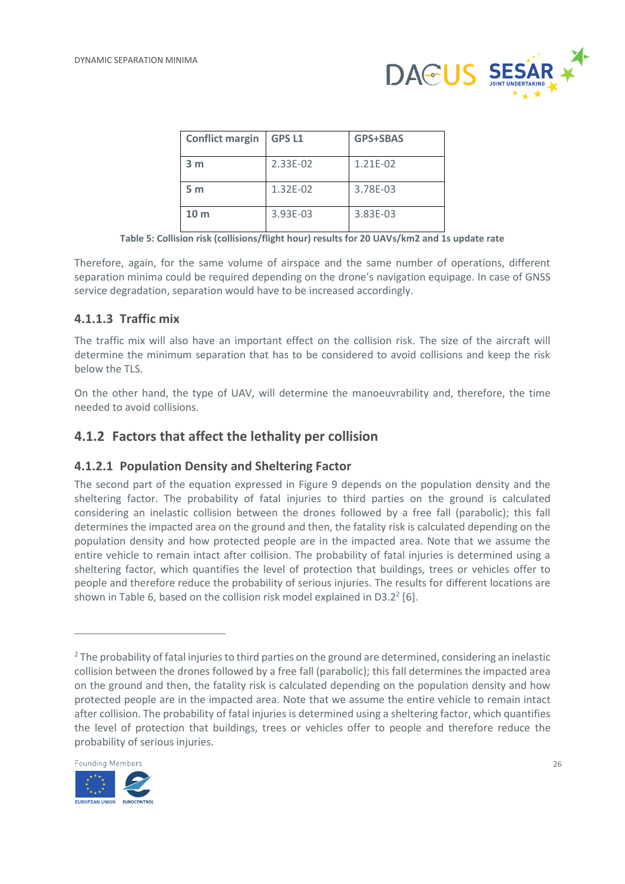

| <b>Conflict margin</b> | <b>GPS L1</b> | <b>GPS+SBAS</b> |
|------------------------|---------------|-----------------|
| 3 <sub>m</sub>         | 2.33E-02      | 1.21E-02        |
| 5 <sub>m</sub>         | 1.32E-02      | 3.78E-03        |
| 10 <sub>m</sub>        | 3.93E-03      | 3.83E-03        |

**Table 5: Collision risk (collisions/flight hour) results for 20 UAVs/km2 and 1s update rate**

<span id="page-25-3"></span>Therefore, again, for the same volume of airspace and the same number of operations, different separation minima could be required depending on the drone's navigation equipage. In case of GNSS service degradation, separation would have to be increased accordingly.

#### <span id="page-25-0"></span>**4.1.1.3 Traffic mix**

The traffic mix will also have an important effect on the collision risk. The size of the aircraft will determine the minimum separation that has to be considered to avoid collisions and keep the risk below the TLS.

On the other hand, the type of UAV, will determine the manoeuvrability and, therefore, the time needed to avoid collisions.

#### <span id="page-25-1"></span>**4.1.2 Factors that affect the lethality per collision**

#### <span id="page-25-2"></span>**4.1.2.1 Population Density and Sheltering Factor**

The second part of the equation expressed in [Figure 9](#page-23-1) depends on the population density and the sheltering factor. The probability of fatal injuries to third parties on the ground is calculated considering an inelastic collision between the drones followed by a free fall (parabolic); this fall determines the impacted area on the ground and then, the fatality risk is calculated depending on the population density and how protected people are in the impacted area. Note that we assume the entire vehicle to remain intact after collision. The probability of fatal injuries is determined using a sheltering factor, which quantifies the level of protection that buildings, trees or vehicles offer to people and therefore reduce the probability of serious injuries. The results for different locations are shown i[n Table 6,](#page-26-1) based on the collision risk model explained in D3.2 $^2$  [6].

<sup>&</sup>lt;sup>2</sup> The probability of fatal injuries to third parties on the ground are determined, considering an inelastic collision between the drones followed by a free fall (parabolic); this fall determines the impacted area on the ground and then, the fatality risk is calculated depending on the population density and how protected people are in the impacted area. Note that we assume the entire vehicle to remain intact after collision. The probability of fatal injuries is determined using a sheltering factor, which quantifies the level of protection that buildings, trees or vehicles offer to people and therefore reduce the probability of serious injuries.

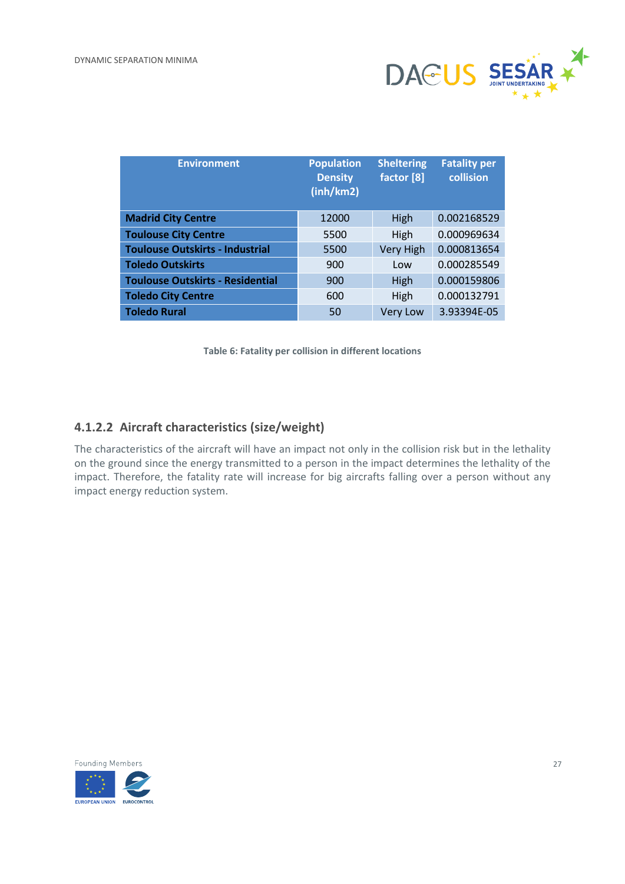

| <b>Environment</b>                      | <b>Population</b><br><b>Density</b><br>(inh/km2) | <b>Sheltering</b><br>factor [8] | <b>Fatality per</b><br>collision |
|-----------------------------------------|--------------------------------------------------|---------------------------------|----------------------------------|
| <b>Madrid City Centre</b>               | 12000                                            | High                            | 0.002168529                      |
| <b>Toulouse City Centre</b>             | 5500                                             | High                            | 0.000969634                      |
| <b>Toulouse Outskirts - Industrial</b>  | 5500                                             | Very High                       | 0.000813654                      |
| <b>Toledo Outskirts</b>                 | 900                                              | Low                             | 0.000285549                      |
| <b>Toulouse Outskirts - Residential</b> | 900                                              | High                            | 0.000159806                      |
| <b>Toledo City Centre</b>               | 600                                              | High                            | 0.000132791                      |
| <b>Toledo Rural</b>                     | 50                                               | <b>Very Low</b>                 | 3.93394E-05                      |

**Table 6: Fatality per collision in different locations**

#### <span id="page-26-1"></span><span id="page-26-0"></span>**4.1.2.2 Aircraft characteristics (size/weight)**

The characteristics of the aircraft will have an impact not only in the collision risk but in the lethality on the ground since the energy transmitted to a person in the impact determines the lethality of the impact. Therefore, the fatality rate will increase for big aircrafts falling over a person without any impact energy reduction system.

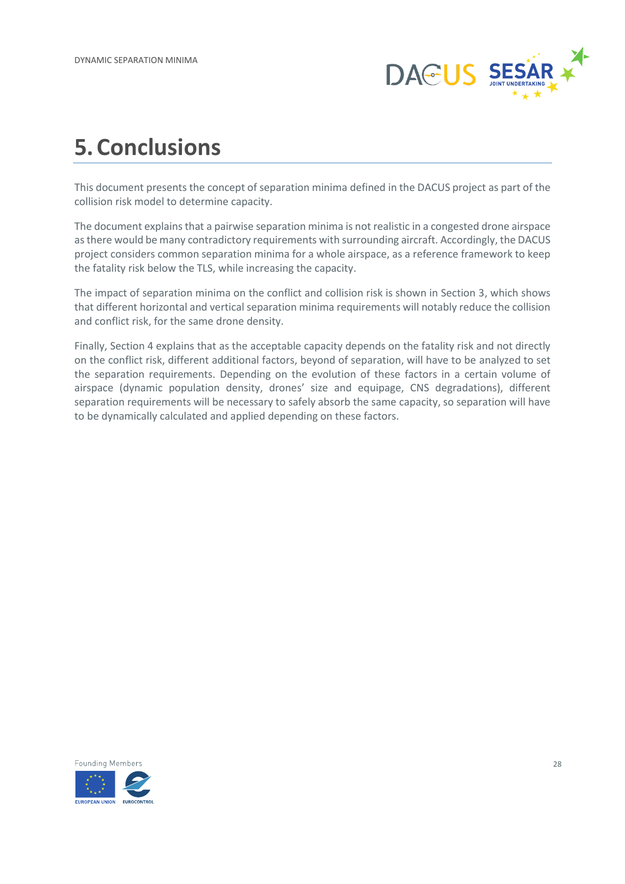

## <span id="page-27-0"></span>**5.Conclusions**

This document presents the concept of separation minima defined in the DACUS project as part of the collision risk model to determine capacity.

The document explains that a pairwise separation minima is not realistic in a congested drone airspace as there would be many contradictory requirements with surrounding aircraft. Accordingly, the DACUS project considers common separation minima for a whole airspace, as a reference framework to keep the fatality risk below the TLS, while increasing the capacity.

The impact of separation minima on the conflict and collision risk is shown in Section 3, which shows that different horizontal and vertical separation minima requirements will notably reduce the collision and conflict risk, for the same drone density.

Finally, Section 4 explains that as the acceptable capacity depends on the fatality risk and not directly on the conflict risk, different additional factors, beyond of separation, will have to be analyzed to set the separation requirements. Depending on the evolution of these factors in a certain volume of airspace (dynamic population density, drones' size and equipage, CNS degradations), different separation requirements will be necessary to safely absorb the same capacity, so separation will have to be dynamically calculated and applied depending on these factors.